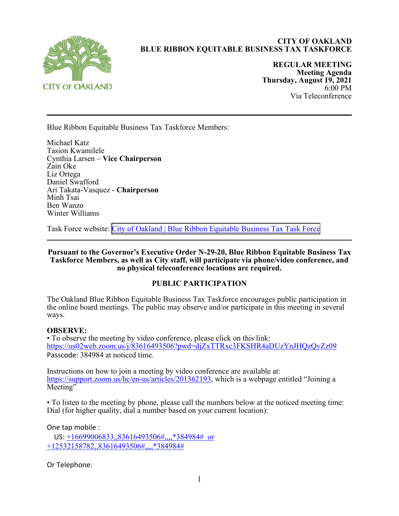

# **CITY OF OAKLAND BLUE RIBBON EQUITABLE BUSINESS TAX TASKFORCE**

**REGULAR MEETING Meeting Agenda Thursday, August 19, 2021**  6:00 PM Via Teleconference

Blue Ribbon Equitable Business Tax Taskforce Members:

Michael Katz Tasion Kwamilele Cynthia Larsen – **Vice Chairperson** Zain Oke Liz Ortega Daniel Swafford Ari Takata-Vasquez - **Chairperson** Minh Tsai Ben Wanzo Winter Williams

Task Force website: [City of Oakland | Blue Ribbon Equitable Business Tax Task Force](https://www.oaklandca.gov/boards-commissions/blue-ribbon-equitable-business-tax-task-force)

**Pursuant to the Governor's Executive Order N-29-20, Blue Ribbon Equitable Business Tax Taskforce Members, as well as City staff, will participate via phone/video conference, and no physical teleconference locations are required.**

## **PUBLIC PARTICIPATION**

The Oakland Blue Ribbon Equitable Business Tax Taskforce encourages public participation in the online board meetings. The public may observe and/or participate in this meeting in several ways.

## **OBSERVE:**

• To observe the meeting by video conference, please click on this link: https://us02web.zoom.us/j/83616493506?pwd=djZxTTRxc3FKSHR4aDUzYnJHQzQvZz09 Passcode: 384984 at noticed time.

Instructions on how to join a meeting by video conference are available at: https://support.zoom.us/hc/en-us/articles/201362193, which is a webpage entitled "Joining a Meeting"

• To listen to the meeting by phone, please call the numbers below at the noticed meeting time: Dial (for higher quality, dial a number based on your current location):

One tap mobile :

 US: +16699006833,,83616493506#,,,,\*384984# or +12532158782,,83616493506#,,,,\*384984#

Or Telephone: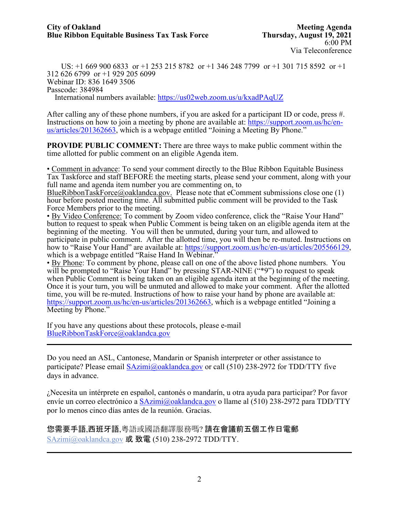US: +1 669 900 6833 or +1 253 215 8782 or +1 346 248 7799 or +1 301 715 8592 or +1 312 626 6799 or +1 929 205 6099 Webinar ID: 836 1649 3506 Passcode: 384984 International numbers available: https://us02web.zoom.us/u/kxadPAqUZ

After calling any of these phone numbers, if you are asked for a participant ID or code, press #. Instructions on how to join a meeting by phone are available at: https://support.zoom.us/hc/enus/articles/201362663, which is a webpage entitled "Joining a Meeting By Phone."

**PROVIDE PUBLIC COMMENT:** There are three ways to make public comment within the time allotted for public comment on an eligible Agenda item.

• Comment in advance: To send your comment directly to the Blue Ribbon Equitable Business Tax Taskforce and staff BEFORE the meeting starts, please send your comment, along with your full name and agenda item number you are commenting on, to

BlueRibbonTaskForce@oaklandca.gov. Please note that eComment submissions close one  $(1)$ hour before posted meeting time. All submitted public comment will be provided to the Task Force Members prior to the meeting.

• By Video Conference: To comment by Zoom video conference, click the "Raise Your Hand" button to request to speak when Public Comment is being taken on an eligible agenda item at the beginning of the meeting. You will then be unmuted, during your turn, and allowed to participate in public comment. After the allotted time, you will then be re-muted. Instructions on how to "Raise Your Hand" are available at: https://support.zoom.us/hc/en-us/articles/205566129, which is a webpage entitled "Raise Hand In Webinar."

• By Phone: To comment by phone, please call on one of the above listed phone numbers. You will be prompted to "Raise Your Hand" by pressing STAR-NINE ("\*9") to request to speak when Public Comment is being taken on an eligible agenda item at the beginning of the meeting. Once it is your turn, you will be unmuted and allowed to make your comment. After the allotted time, you will be re-muted. Instructions of how to raise your hand by phone are available at: https://support.zoom.us/hc/en-us/articles/201362663, which is a webpage entitled "Joining a Meeting by Phone."

If you have any questions about these protocols, please e-mail BlueRibbonTaskForce@oaklandca.gov

Do you need an ASL, Cantonese, Mandarin or Spanish interpreter or other assistance to participate? Please email SAzimi@oaklandca.gov or call (510) 238-2972 for TDD/TTY five days in advance.

¿Necesita un intérprete en español, cantonés o mandarín, u otra ayuda para participar? Por favor envíe un correo electrónico a SAzimi@oaklandca.gov o llame al (510) 238-2972 para TDD/TTY por lo menos cinco días antes de la reunión. Gracias.

您需要手語,西班牙語,粵語或國語翻譯服務嗎? 請在會議前五個工作日電郵 SAzimi@oaklandca.gov 或 致電  $(510)$  238-2972 TDD/TTY.

 $\mathcal{L}_\text{max}$  and  $\mathcal{L}_\text{max}$  and  $\mathcal{L}_\text{max}$  and  $\mathcal{L}_\text{max}$  and  $\mathcal{L}_\text{max}$  and  $\mathcal{L}_\text{max}$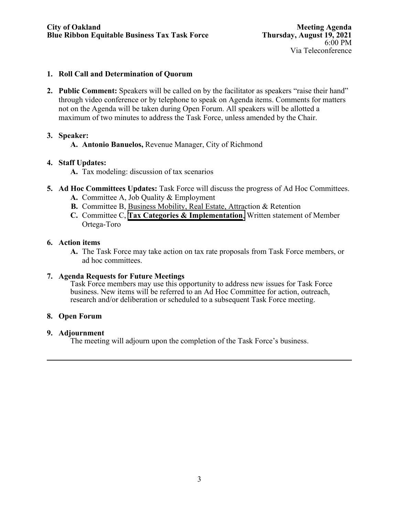## **1. Roll Call and Determination of Quorum**

**2. Public Comment:** Speakers will be called on by the facilitator as speakers "raise their hand" through video conference or by telephone to speak on Agenda items. Comments for matters not on the Agenda will be taken during Open Forum. All speakers will be allotted a maximum of two minutes to address the Task Force, unless amended by the Chair.

## **3. Speaker:**

**A. Antonio Banuelos,** Revenue Manager, City of Richmond

## **4. Staff Updates:**

- **A.** Tax modeling: discussion of tax scenarios
- **5. Ad Hoc Committees Updates:** Task Force will discuss the progress of Ad Hoc Committees.
	- **A.** Committee A, Job Quality & Employment
	- **B.** Committee B, Business Mobility, Real Estate, Attraction & Retention
	- **C.** Committee C, **Tax Categories [& Implementation](https://cao-94612.s3.amazonaws.com/documents/Task-force-options-Aug-19-2021.pdf)**, Written statement of Member Ortega-Toro

## **6. Action items**

**A.** The Task Force may take action on tax rate proposals from Task Force members, or ad hoc committees.

## **7. Agenda Requests for Future Meetings**

Task Force members may use this opportunity to address new issues for Task Force business. New items will be referred to an Ad Hoc Committee for action, outreach, research and/or deliberation or scheduled to a subsequent Task Force meeting.

## **8. Open Forum**

## **9. Adjournment**

The meeting will adjourn upon the completion of the Task Force's business.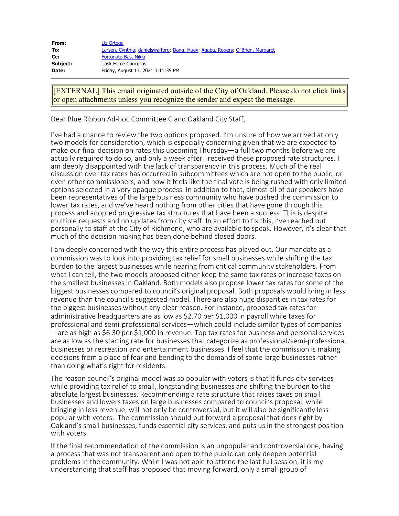| From:    | Liz Ortega                                                                    |
|----------|-------------------------------------------------------------------------------|
| To:      | Larsen, Cynthia; danielswafford; Dang, Huey; Agaba, Rogers; O"Brien, Margaret |
| Cc:      | Fortunato Bas, Nikki                                                          |
| Subject: | <b>Task Force Concerns</b>                                                    |
| Date:    | Friday, August 13, 2021 3:11:35 PM                                            |

[EXTERNAL] This email originated outside of the City of Oakland. Please do not click links or open attachments unless you recognize the sender and expect the message.

Dear Blue Ribbon Ad-hoc Committee C and Oakland City Staff,

I've had a chance to review the two options proposed. I'm unsure of how we arrived at only two models for consideration, which is especially concerning given that we are expected to make our final decision on rates this upcoming Thursday—a full two months before we are actually required to do so, and only a week after I received these proposed rate structures. I am deeply disappointed with the lack of transparency in this process. Much of the real discussion over tax rates has occurred in subcommittees which are not open to the public, or even other commissioners, and now it feels like the final vote is being rushed with only limited options selected in a very opaque process. In addition to that, almost all of our speakers have been representatives of the large business community who have pushed the commission to lower tax rates, and we've heard nothing from other cities that have gone through this process and adopted progressive tax structures that have been a success. This is despite multiple requests and no updates from city staff. In an effort to fix this, I've reached out personally to staff at the City of Richmond, who are available to speak. However, it's clear that much of the decision making has been done behind closed doors.

I am deeply concerned with the way this entire process has played out. Our mandate as a commission was to look into providing tax relief for small businesses while shifting the tax burden to the largest businesses while hearing from critical community stakeholders. From what I can tell, the two models proposed either keep the same tax rates or increase taxes on the smallest businesses in Oakland. Both models also propose lower tax rates for some of the biggest businesses compared to council's original proposal. Both proposals would bring in less revenue than the council's suggested model. There are also huge disparities in tax rates for the biggest businesses without any clear reason. For instance, proposed tax rates for administrative headquarters are as low as \$2.70 per \$1,000 in payroll while taxes for professional and semi-professional services—which could include similar types of companies —are as high as \$6.30 per \$1,000 in revenue. Top tax rates for business and personal services are as low as the starting rate for businesses that categorize as professional/semi-professional businesses or recreation and entertainment businesses. I feel that the commission is making decisions from a place of fear and bending to the demands of some large businesses rather than doing what's right for residents.

The reason council's original model was so popular with voters is that it funds city services while providing tax relief to small, longstanding businesses and shifting the burden to the absolute largest businesses. Recommending a rate structure that raises taxes on small businesses and lowers taxes on large businesses compared to council's proposal, while bringing in less revenue, will not only be controversial, but it will also be significantly less popular with voters. The commission should put forward a proposal that does right by Oakland's small businesses, funds essential city services, and puts us in the strongest position with voters.

If the final recommendation of the commission is an unpopular and controversial one, having a process that was not transparent and open to the public can only deepen potential problems in the community. While I was not able to attend the last full session, it is my understanding that staff has proposed that moving forward, only a small group of